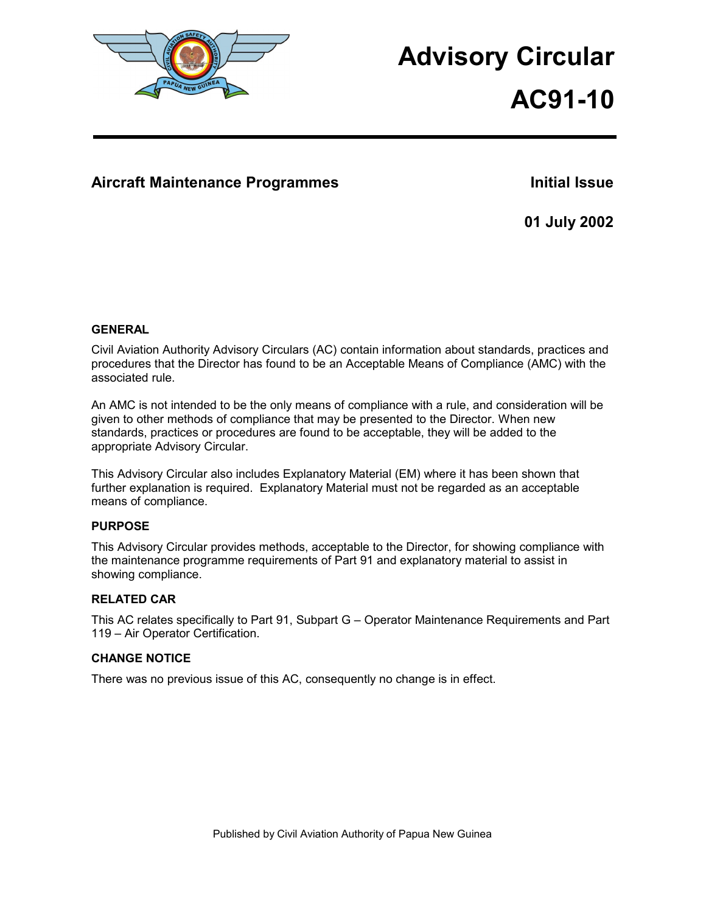

# **Advisory Circular**

**AC91-10**

# Aircraft Maintenance Programmes **Initial Issue**

**01 July 2002** 

# **GENERAL**

Civil Aviation Authority Advisory Circulars (AC) contain information about standards, practices and procedures that the Director has found to be an Acceptable Means of Compliance (AMC) with the associated rule.

An AMC is not intended to be the only means of compliance with a rule, and consideration will be given to other methods of compliance that may be presented to the Director. When new standards, practices or procedures are found to be acceptable, they will be added to the appropriate Advisory Circular.

This Advisory Circular also includes Explanatory Material (EM) where it has been shown that further explanation is required. Explanatory Material must not be regarded as an acceptable means of compliance.

# **PURPOSE**

This Advisory Circular provides methods, acceptable to the Director, for showing compliance with the maintenance programme requirements of Part 91 and explanatory material to assist in showing compliance.

# **RELATED CAR**

This AC relates specifically to Part 91, Subpart G – Operator Maintenance Requirements and Part 119 – Air Operator Certification.

# **CHANGE NOTICE**

There was no previous issue of this AC, consequently no change is in effect.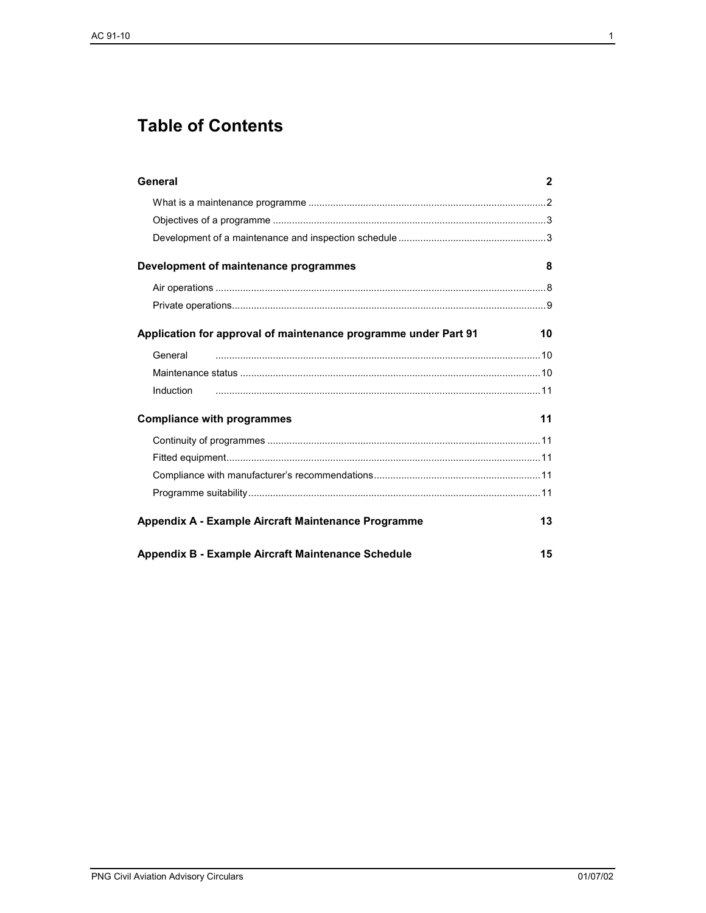# **Table of Contents**

| General                                                         | $\mathbf{2}$ |
|-----------------------------------------------------------------|--------------|
|                                                                 |              |
|                                                                 |              |
|                                                                 |              |
| Development of maintenance programmes                           | 8            |
|                                                                 |              |
|                                                                 |              |
| Application for approval of maintenance programme under Part 91 | 10           |
| General                                                         |              |
|                                                                 |              |
| Induction                                                       |              |
| <b>Compliance with programmes</b>                               | 11           |
|                                                                 |              |
|                                                                 |              |
|                                                                 |              |
|                                                                 |              |
| Appendix A - Example Aircraft Maintenance Programme             | 13           |
| Appendix B - Example Aircraft Maintenance Schedule              |              |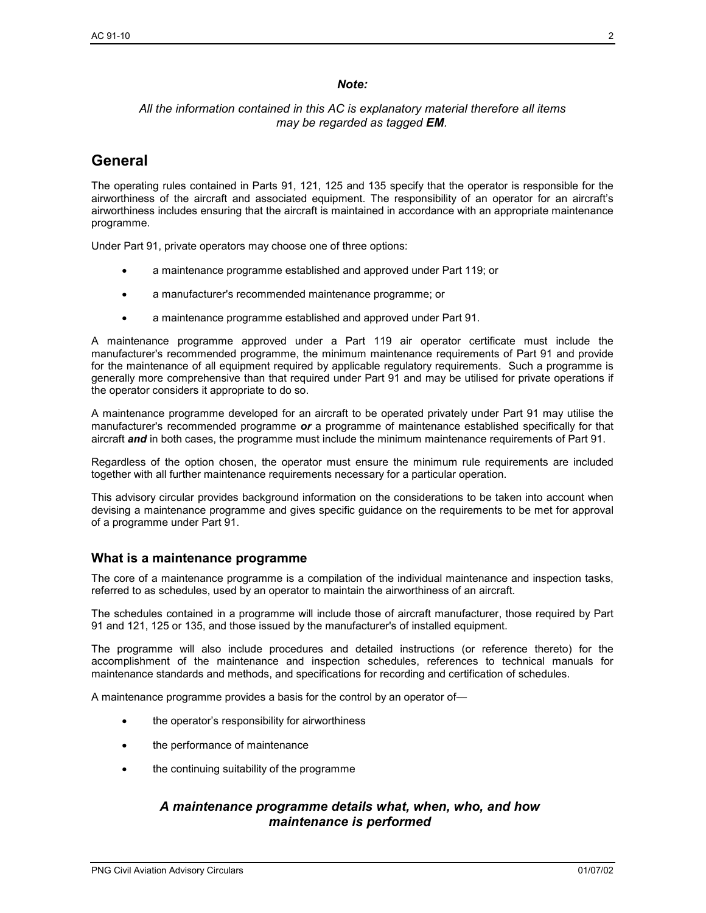## *Note:*

## *All the information contained in this AC is explanatory material therefore all items may be regarded as tagged EM.*

# **General**

The operating rules contained in Parts 91, 121, 125 and 135 specify that the operator is responsible for the airworthiness of the aircraft and associated equipment. The responsibility of an operator for an aircraft's airworthiness includes ensuring that the aircraft is maintained in accordance with an appropriate maintenance programme.

Under Part 91, private operators may choose one of three options:

- a maintenance programme established and approved under Part 119; or
- a manufacturer's recommended maintenance programme; or
- a maintenance programme established and approved under Part 91.

A maintenance programme approved under a Part 119 air operator certificate must include the manufacturer's recommended programme, the minimum maintenance requirements of Part 91 and provide for the maintenance of all equipment required by applicable regulatory requirements. Such a programme is generally more comprehensive than that required under Part 91 and may be utilised for private operations if the operator considers it appropriate to do so.

A maintenance programme developed for an aircraft to be operated privately under Part 91 may utilise the manufacturer's recommended programme *or* a programme of maintenance established specifically for that aircraft *and* in both cases, the programme must include the minimum maintenance requirements of Part 91.

Regardless of the option chosen, the operator must ensure the minimum rule requirements are included together with all further maintenance requirements necessary for a particular operation.

This advisory circular provides background information on the considerations to be taken into account when devising a maintenance programme and gives specific guidance on the requirements to be met for approval of a programme under Part 91.

# **What is a maintenance programme**

The core of a maintenance programme is a compilation of the individual maintenance and inspection tasks, referred to as schedules, used by an operator to maintain the airworthiness of an aircraft.

The schedules contained in a programme will include those of aircraft manufacturer, those required by Part 91 and 121, 125 or 135, and those issued by the manufacturer's of installed equipment.

The programme will also include procedures and detailed instructions (or reference thereto) for the accomplishment of the maintenance and inspection schedules, references to technical manuals for maintenance standards and methods, and specifications for recording and certification of schedules.

A maintenance programme provides a basis for the control by an operator of—

- the operator's responsibility for airworthiness
- the performance of maintenance
- the continuing suitability of the programme

# *A maintenance programme details what, when, who, and how maintenance is performed*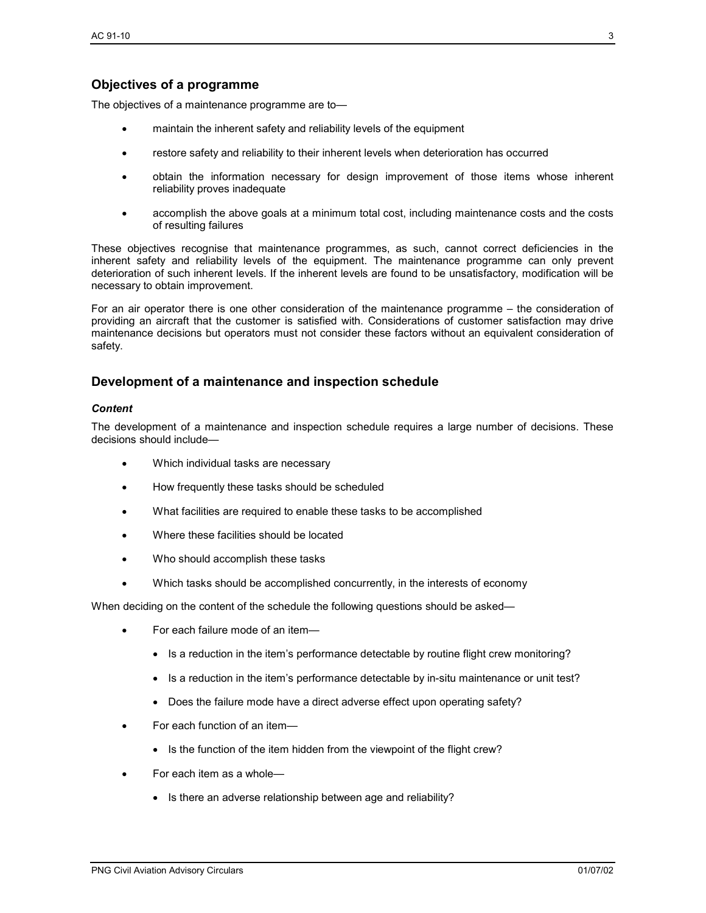# **Objectives of a programme**

The objectives of a maintenance programme are to—

- maintain the inherent safety and reliability levels of the equipment
- restore safety and reliability to their inherent levels when deterioration has occurred
- obtain the information necessary for design improvement of those items whose inherent reliability proves inadequate
- accomplish the above goals at a minimum total cost, including maintenance costs and the costs of resulting failures

These objectives recognise that maintenance programmes, as such, cannot correct deficiencies in the inherent safety and reliability levels of the equipment. The maintenance programme can only prevent deterioration of such inherent levels. If the inherent levels are found to be unsatisfactory, modification will be necessary to obtain improvement.

For an air operator there is one other consideration of the maintenance programme – the consideration of providing an aircraft that the customer is satisfied with. Considerations of customer satisfaction may drive maintenance decisions but operators must not consider these factors without an equivalent consideration of safety.

# **Development of a maintenance and inspection schedule**

#### *Content*

The development of a maintenance and inspection schedule requires a large number of decisions. These decisions should include—

- Which individual tasks are necessary
- How frequently these tasks should be scheduled
- What facilities are required to enable these tasks to be accomplished
- Where these facilities should be located
- Who should accomplish these tasks
- Which tasks should be accomplished concurrently, in the interests of economy

When deciding on the content of the schedule the following questions should be asked—

- For each failure mode of an item—
	- Is a reduction in the item's performance detectable by routine flight crew monitoring?
	- Is a reduction in the item's performance detectable by in-situ maintenance or unit test?
	- Does the failure mode have a direct adverse effect upon operating safety?
- For each function of an item—
	- Is the function of the item hidden from the viewpoint of the flight crew?
- For each item as a whole—
	- Is there an adverse relationship between age and reliability?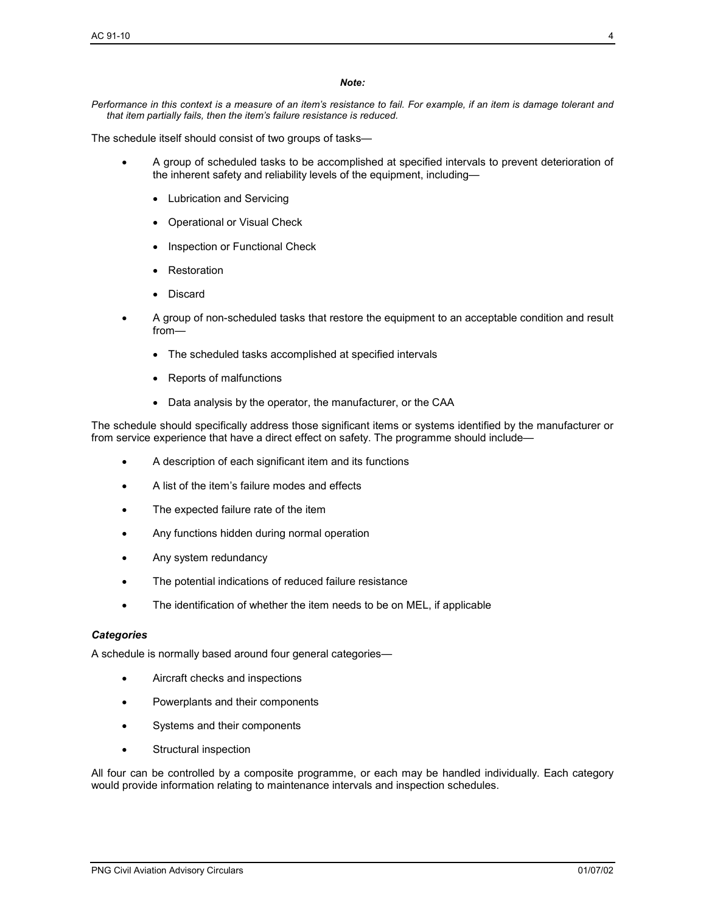#### *Note:*

*Performance in this context is a measure of an item's resistance to fail. For example, if an item is damage tolerant and that item partially fails, then the item's failure resistance is reduced.* 

The schedule itself should consist of two groups of tasks—

- A group of scheduled tasks to be accomplished at specified intervals to prevent deterioration of the inherent safety and reliability levels of the equipment, including—
	- Lubrication and Servicing
	- Operational or Visual Check
	- Inspection or Functional Check
	- Restoration
	- Discard
- A group of non-scheduled tasks that restore the equipment to an acceptable condition and result from—
	- The scheduled tasks accomplished at specified intervals
	- Reports of malfunctions
	- Data analysis by the operator, the manufacturer, or the CAA

The schedule should specifically address those significant items or systems identified by the manufacturer or from service experience that have a direct effect on safety. The programme should include—

- A description of each significant item and its functions
- A list of the item's failure modes and effects
- The expected failure rate of the item
- Any functions hidden during normal operation
- Any system redundancy
- The potential indications of reduced failure resistance
- The identification of whether the item needs to be on MEL, if applicable

#### *Categories*

A schedule is normally based around four general categories—

- Aircraft checks and inspections
- Powerplants and their components
- Systems and their components
- Structural inspection

All four can be controlled by a composite programme, or each may be handled individually. Each category would provide information relating to maintenance intervals and inspection schedules.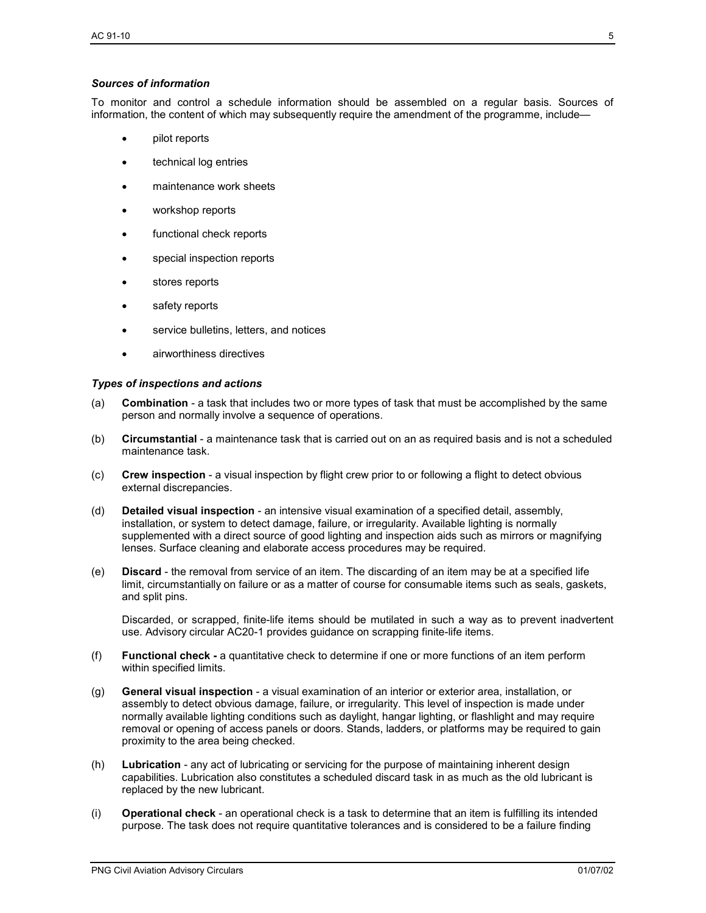#### *Sources of information*

To monitor and control a schedule information should be assembled on a regular basis. Sources of information, the content of which may subsequently require the amendment of the programme, include—

- pilot reports
- technical log entries
- maintenance work sheets
- workshop reports
- functional check reports
- special inspection reports
- stores reports
- safety reports
- service bulletins, letters, and notices
- airworthiness directives

#### *Types of inspections and actions*

- (a) **Combination** a task that includes two or more types of task that must be accomplished by the same person and normally involve a sequence of operations.
- (b) **Circumstantial** a maintenance task that is carried out on an as required basis and is not a scheduled maintenance task.
- (c) **Crew inspection** a visual inspection by flight crew prior to or following a flight to detect obvious external discrepancies.
- (d) **Detailed visual inspection** an intensive visual examination of a specified detail, assembly, installation, or system to detect damage, failure, or irregularity. Available lighting is normally supplemented with a direct source of good lighting and inspection aids such as mirrors or magnifying lenses. Surface cleaning and elaborate access procedures may be required.
- (e) **Discard** the removal from service of an item. The discarding of an item may be at a specified life limit, circumstantially on failure or as a matter of course for consumable items such as seals, gaskets, and split pins.

Discarded, or scrapped, finite-life items should be mutilated in such a way as to prevent inadvertent use. Advisory circular AC20-1 provides guidance on scrapping finite-life items.

- (f) **Functional check** a quantitative check to determine if one or more functions of an item perform within specified limits.
- (g) **General visual inspection** a visual examination of an interior or exterior area, installation, or assembly to detect obvious damage, failure, or irregularity. This level of inspection is made under normally available lighting conditions such as daylight, hangar lighting, or flashlight and may require removal or opening of access panels or doors. Stands, ladders, or platforms may be required to gain proximity to the area being checked.
- (h) **Lubrication** any act of lubricating or servicing for the purpose of maintaining inherent design capabilities. Lubrication also constitutes a scheduled discard task in as much as the old lubricant is replaced by the new lubricant.
- (i) **Operational check** an operational check is a task to determine that an item is fulfilling its intended purpose. The task does not require quantitative tolerances and is considered to be a failure finding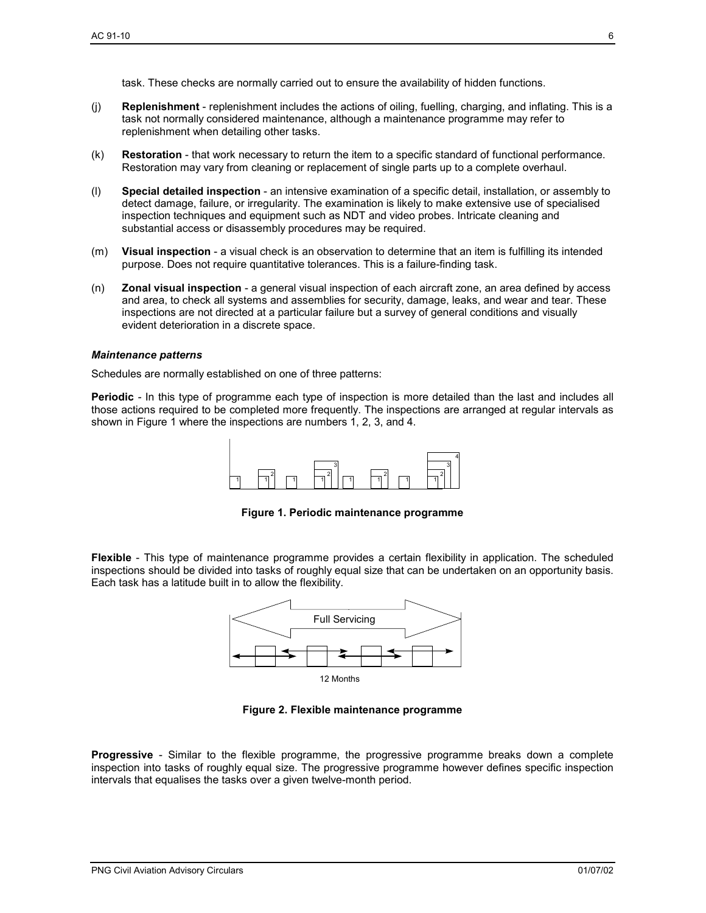task. These checks are normally carried out to ensure the availability of hidden functions.

- (j) **Replenishment** replenishment includes the actions of oiling, fuelling, charging, and inflating. This is a task not normally considered maintenance, although a maintenance programme may refer to replenishment when detailing other tasks.
- (k) **Restoration** that work necessary to return the item to a specific standard of functional performance. Restoration may vary from cleaning or replacement of single parts up to a complete overhaul.
- (l) **Special detailed inspection** an intensive examination of a specific detail, installation, or assembly to detect damage, failure, or irregularity. The examination is likely to make extensive use of specialised inspection techniques and equipment such as NDT and video probes. Intricate cleaning and substantial access or disassembly procedures may be required.
- (m) **Visual inspection** a visual check is an observation to determine that an item is fulfilling its intended purpose. Does not require quantitative tolerances. This is a failure-finding task.
- (n) **Zonal visual inspection** a general visual inspection of each aircraft zone, an area defined by access and area, to check all systems and assemblies for security, damage, leaks, and wear and tear. These inspections are not directed at a particular failure but a survey of general conditions and visually evident deterioration in a discrete space.

#### *Maintenance patterns*

Schedules are normally established on one of three patterns:

**Periodic** *-* In this type of programme each type of inspection is more detailed than the last and includes all those actions required to be completed more frequently. The inspections are arranged at regular intervals as shown in Figure 1 where the inspections are numbers 1, 2, 3, and 4.



**Figure 1. Periodic maintenance programme** 

**Flexible** - This type of maintenance programme provides a certain flexibility in application. The scheduled inspections should be divided into tasks of roughly equal size that can be undertaken on an opportunity basis. Each task has a latitude built in to allow the flexibility.



**Figure 2. Flexible maintenance programme** 

**Progressive** - Similar to the flexible programme, the progressive programme breaks down a complete inspection into tasks of roughly equal size. The progressive programme however defines specific inspection intervals that equalises the tasks over a given twelve-month period.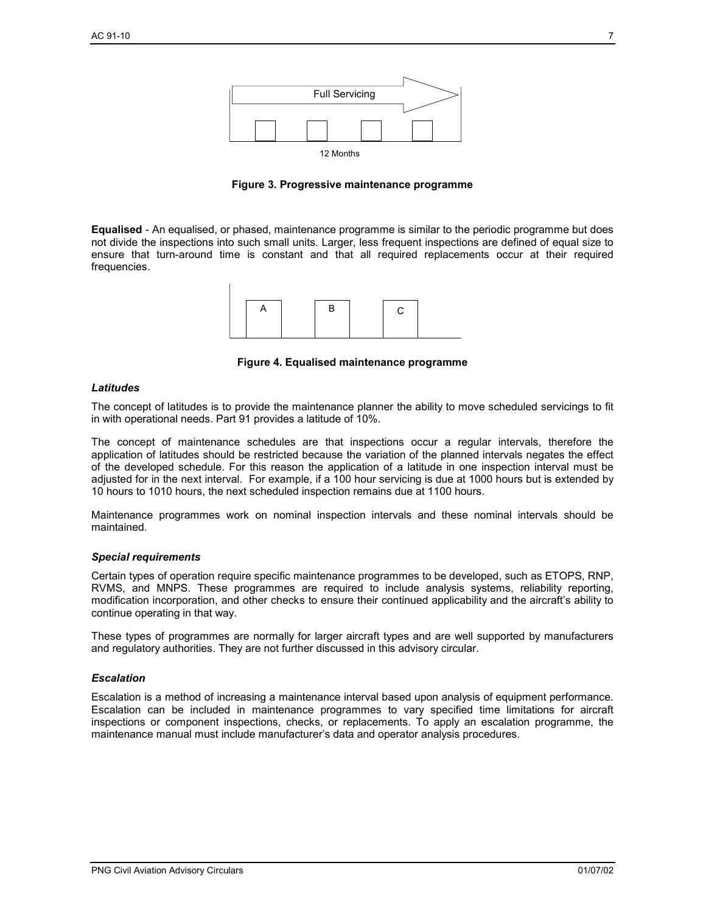

**Figure 3. Progressive maintenance programme** 

**Equalised** - An equalised, or phased, maintenance programme is similar to the periodic programme but does not divide the inspections into such small units. Larger, less frequent inspections are defined of equal size to ensure that turn-around time is constant and that all required replacements occur at their required frequencies.



**Figure 4. Equalised maintenance programme** 

#### *Latitudes*

The concept of latitudes is to provide the maintenance planner the ability to move scheduled servicings to fit in with operational needs. Part 91 provides a latitude of 10%.

The concept of maintenance schedules are that inspections occur a regular intervals, therefore the application of latitudes should be restricted because the variation of the planned intervals negates the effect of the developed schedule. For this reason the application of a latitude in one inspection interval must be adjusted for in the next interval. For example, if a 100 hour servicing is due at 1000 hours but is extended by 10 hours to 1010 hours, the next scheduled inspection remains due at 1100 hours.

Maintenance programmes work on nominal inspection intervals and these nominal intervals should be maintained.

#### *Special requirements*

Certain types of operation require specific maintenance programmes to be developed, such as ETOPS, RNP, RVMS, and MNPS. These programmes are required to include analysis systems, reliability reporting, modification incorporation, and other checks to ensure their continued applicability and the aircraft's ability to continue operating in that way.

These types of programmes are normally for larger aircraft types and are well supported by manufacturers and regulatory authorities. They are not further discussed in this advisory circular.

#### *Escalation*

Escalation is a method of increasing a maintenance interval based upon analysis of equipment performance. Escalation can be included in maintenance programmes to vary specified time limitations for aircraft inspections or component inspections, checks, or replacements. To apply an escalation programme, the maintenance manual must include manufacturer's data and operator analysis procedures.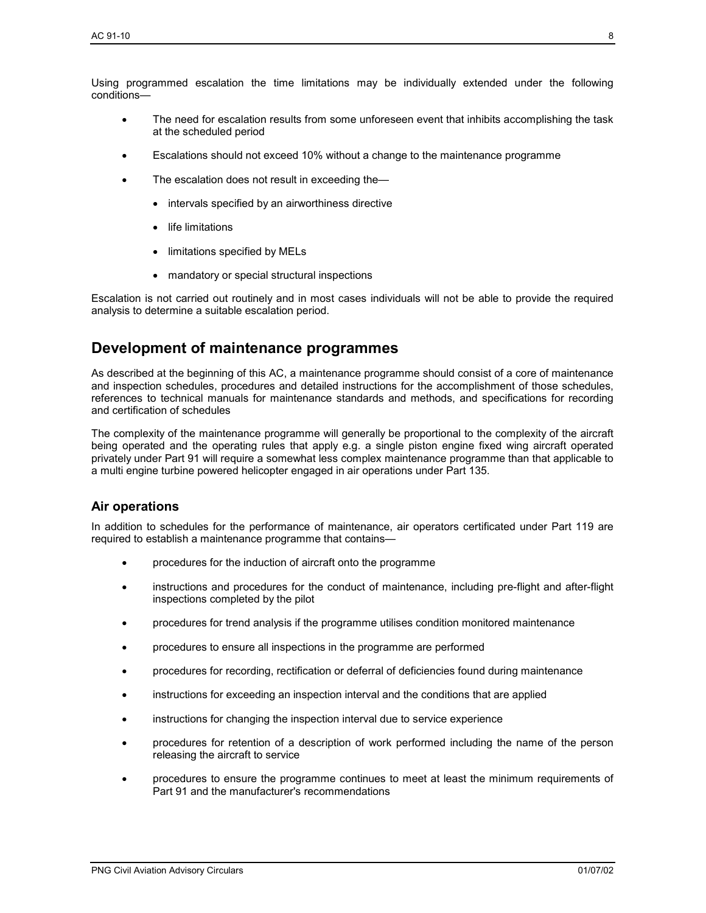Using programmed escalation the time limitations may be individually extended under the following conditions—

- The need for escalation results from some unforeseen event that inhibits accomplishing the task at the scheduled period
- Escalations should not exceed 10% without a change to the maintenance programme
- The escalation does not result in exceeding the-
	- intervals specified by an airworthiness directive
	- life limitations
	- limitations specified by MELs
	- mandatory or special structural inspections

Escalation is not carried out routinely and in most cases individuals will not be able to provide the required analysis to determine a suitable escalation period.

# **Development of maintenance programmes**

As described at the beginning of this AC, a maintenance programme should consist of a core of maintenance and inspection schedules, procedures and detailed instructions for the accomplishment of those schedules, references to technical manuals for maintenance standards and methods, and specifications for recording and certification of schedules

The complexity of the maintenance programme will generally be proportional to the complexity of the aircraft being operated and the operating rules that apply e.g. a single piston engine fixed wing aircraft operated privately under Part 91 will require a somewhat less complex maintenance programme than that applicable to a multi engine turbine powered helicopter engaged in air operations under Part 135.

# **Air operations**

In addition to schedules for the performance of maintenance, air operators certificated under Part 119 are required to establish a maintenance programme that contains—

- procedures for the induction of aircraft onto the programme
- instructions and procedures for the conduct of maintenance, including pre-flight and after-flight inspections completed by the pilot
- procedures for trend analysis if the programme utilises condition monitored maintenance
- procedures to ensure all inspections in the programme are performed
- procedures for recording, rectification or deferral of deficiencies found during maintenance
- instructions for exceeding an inspection interval and the conditions that are applied
- instructions for changing the inspection interval due to service experience
- procedures for retention of a description of work performed including the name of the person releasing the aircraft to service
- procedures to ensure the programme continues to meet at least the minimum requirements of Part 91 and the manufacturer's recommendations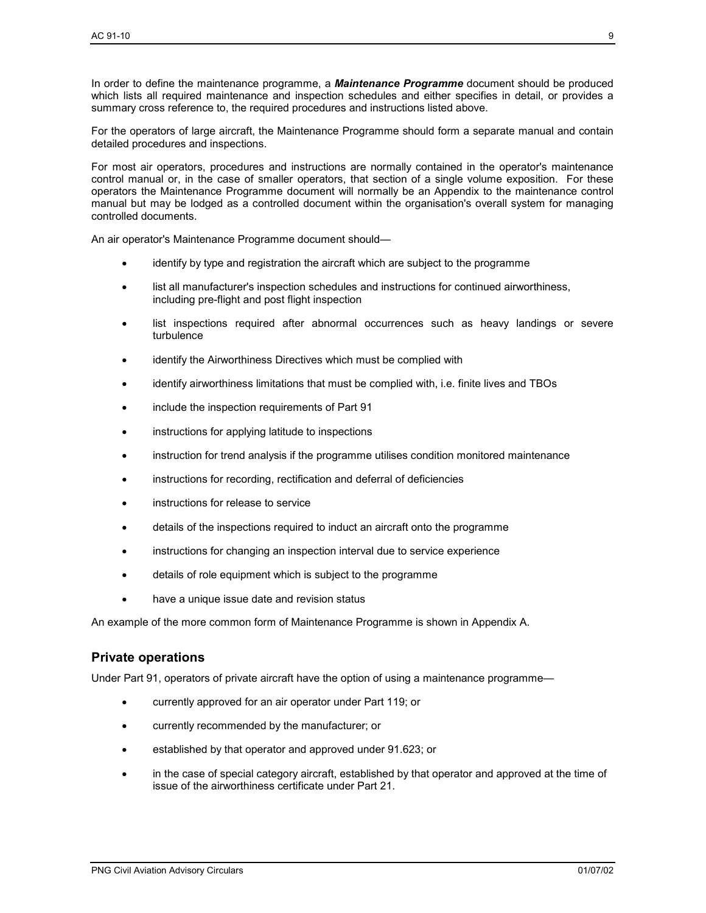In order to define the maintenance programme, a *Maintenance Programme* document should be produced which lists all required maintenance and inspection schedules and either specifies in detail, or provides a summary cross reference to, the required procedures and instructions listed above.

For the operators of large aircraft, the Maintenance Programme should form a separate manual and contain detailed procedures and inspections.

For most air operators, procedures and instructions are normally contained in the operator's maintenance control manual or, in the case of smaller operators, that section of a single volume exposition. For these operators the Maintenance Programme document will normally be an Appendix to the maintenance control manual but may be lodged as a controlled document within the organisation's overall system for managing controlled documents.

An air operator's Maintenance Programme document should—

- identify by type and registration the aircraft which are subject to the programme
- list all manufacturer's inspection schedules and instructions for continued airworthiness, including pre-flight and post flight inspection
- list inspections required after abnormal occurrences such as heavy landings or severe turbulence
- identify the Airworthiness Directives which must be complied with
- identify airworthiness limitations that must be complied with, i.e. finite lives and TBOs
- include the inspection requirements of Part 91
- instructions for applying latitude to inspections
- instruction for trend analysis if the programme utilises condition monitored maintenance
- instructions for recording, rectification and deferral of deficiencies
- instructions for release to service
- details of the inspections required to induct an aircraft onto the programme
- instructions for changing an inspection interval due to service experience
- details of role equipment which is subject to the programme
- have a unique issue date and revision status

An example of the more common form of Maintenance Programme is shown in Appendix A.

#### **Private operations**

Under Part 91, operators of private aircraft have the option of using a maintenance programme—

- currently approved for an air operator under Part 119; or
- currently recommended by the manufacturer; or
- established by that operator and approved under 91.623; or
- in the case of special category aircraft, established by that operator and approved at the time of issue of the airworthiness certificate under Part 21.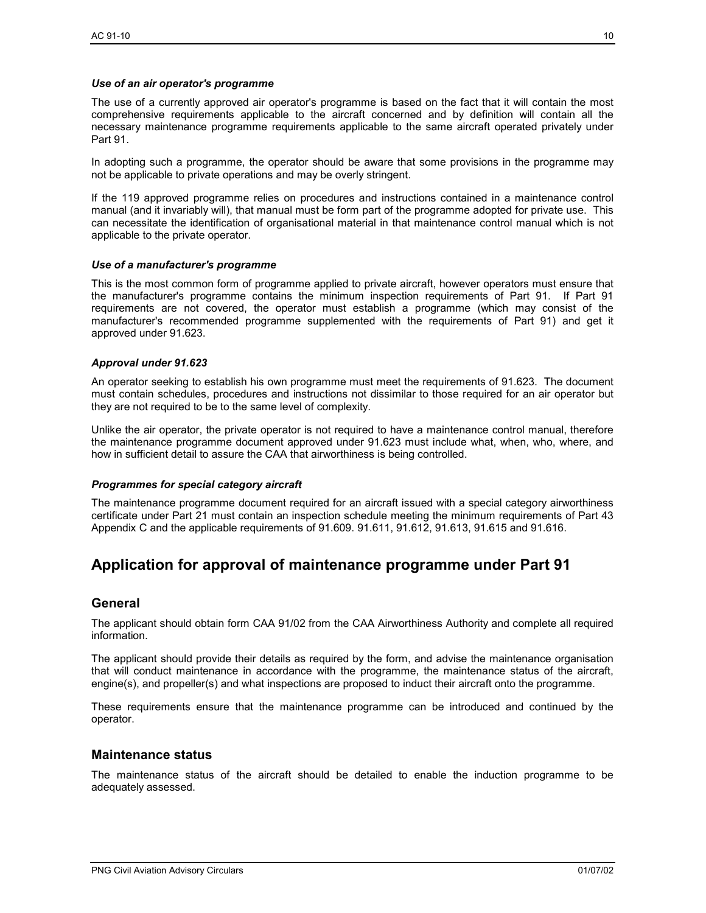#### *Use of an air operator's programme*

The use of a currently approved air operator's programme is based on the fact that it will contain the most comprehensive requirements applicable to the aircraft concerned and by definition will contain all the necessary maintenance programme requirements applicable to the same aircraft operated privately under Part 91.

In adopting such a programme, the operator should be aware that some provisions in the programme may not be applicable to private operations and may be overly stringent.

If the 119 approved programme relies on procedures and instructions contained in a maintenance control manual (and it invariably will), that manual must be form part of the programme adopted for private use. This can necessitate the identification of organisational material in that maintenance control manual which is not applicable to the private operator.

#### *Use of a manufacturer's programme*

This is the most common form of programme applied to private aircraft, however operators must ensure that the manufacturer's programme contains the minimum inspection requirements of Part 91. If Part 91 requirements are not covered, the operator must establish a programme (which may consist of the manufacturer's recommended programme supplemented with the requirements of Part 91) and get it approved under 91.623.

#### *Approval under 91.623*

An operator seeking to establish his own programme must meet the requirements of 91.623. The document must contain schedules, procedures and instructions not dissimilar to those required for an air operator but they are not required to be to the same level of complexity.

Unlike the air operator, the private operator is not required to have a maintenance control manual, therefore the maintenance programme document approved under 91.623 must include what, when, who, where, and how in sufficient detail to assure the CAA that airworthiness is being controlled.

#### *Programmes for special category aircraft*

The maintenance programme document required for an aircraft issued with a special category airworthiness certificate under Part 21 must contain an inspection schedule meeting the minimum requirements of Part 43 Appendix C and the applicable requirements of 91.609. 91.611, 91.612, 91.613, 91.615 and 91.616.

# **Application for approval of maintenance programme under Part 91**

#### **General**

The applicant should obtain form CAA 91/02 from the CAA Airworthiness Authority and complete all required information.

The applicant should provide their details as required by the form, and advise the maintenance organisation that will conduct maintenance in accordance with the programme, the maintenance status of the aircraft, engine(s), and propeller(s) and what inspections are proposed to induct their aircraft onto the programme.

These requirements ensure that the maintenance programme can be introduced and continued by the operator.

#### **Maintenance status**

The maintenance status of the aircraft should be detailed to enable the induction programme to be adequately assessed.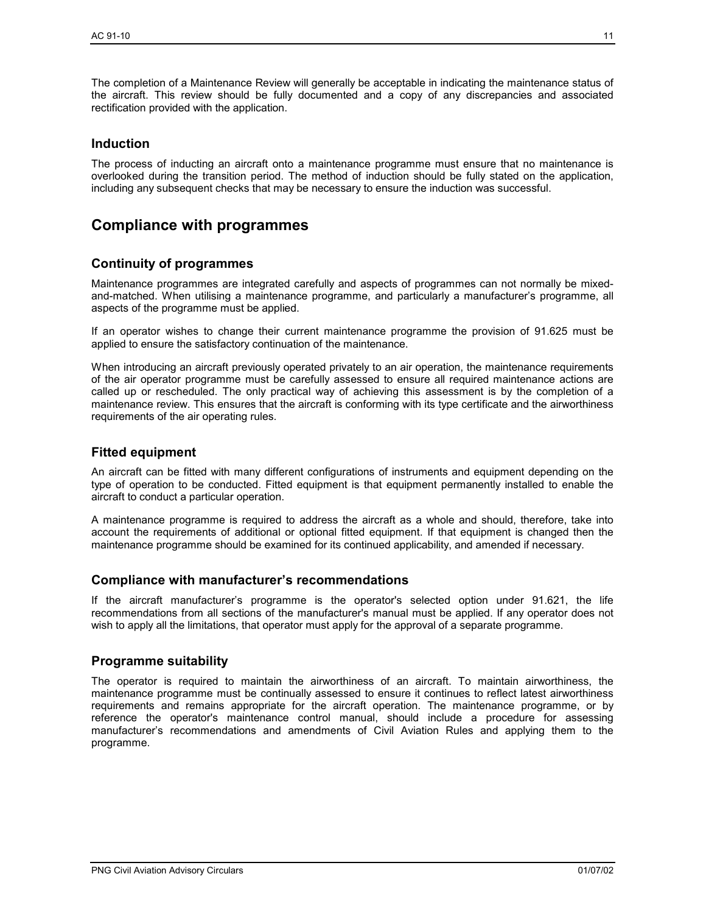The completion of a Maintenance Review will generally be acceptable in indicating the maintenance status of the aircraft. This review should be fully documented and a copy of any discrepancies and associated rectification provided with the application.

# **Induction**

The process of inducting an aircraft onto a maintenance programme must ensure that no maintenance is overlooked during the transition period. The method of induction should be fully stated on the application, including any subsequent checks that may be necessary to ensure the induction was successful.

# **Compliance with programmes**

# **Continuity of programmes**

Maintenance programmes are integrated carefully and aspects of programmes can not normally be mixedand-matched. When utilising a maintenance programme, and particularly a manufacturer's programme, all aspects of the programme must be applied.

If an operator wishes to change their current maintenance programme the provision of 91.625 must be applied to ensure the satisfactory continuation of the maintenance.

When introducing an aircraft previously operated privately to an air operation, the maintenance requirements of the air operator programme must be carefully assessed to ensure all required maintenance actions are called up or rescheduled. The only practical way of achieving this assessment is by the completion of a maintenance review. This ensures that the aircraft is conforming with its type certificate and the airworthiness requirements of the air operating rules.

# **Fitted equipment**

An aircraft can be fitted with many different configurations of instruments and equipment depending on the type of operation to be conducted. Fitted equipment is that equipment permanently installed to enable the aircraft to conduct a particular operation.

A maintenance programme is required to address the aircraft as a whole and should, therefore, take into account the requirements of additional or optional fitted equipment. If that equipment is changed then the maintenance programme should be examined for its continued applicability, and amended if necessary.

# **Compliance with manufacturer's recommendations**

If the aircraft manufacturer's programme is the operator's selected option under 91.621, the life recommendations from all sections of the manufacturer's manual must be applied. If any operator does not wish to apply all the limitations, that operator must apply for the approval of a separate programme.

# **Programme suitability**

The operator is required to maintain the airworthiness of an aircraft. To maintain airworthiness, the maintenance programme must be continually assessed to ensure it continues to reflect latest airworthiness requirements and remains appropriate for the aircraft operation. The maintenance programme, or by reference the operator's maintenance control manual, should include a procedure for assessing manufacturer's recommendations and amendments of Civil Aviation Rules and applying them to the programme.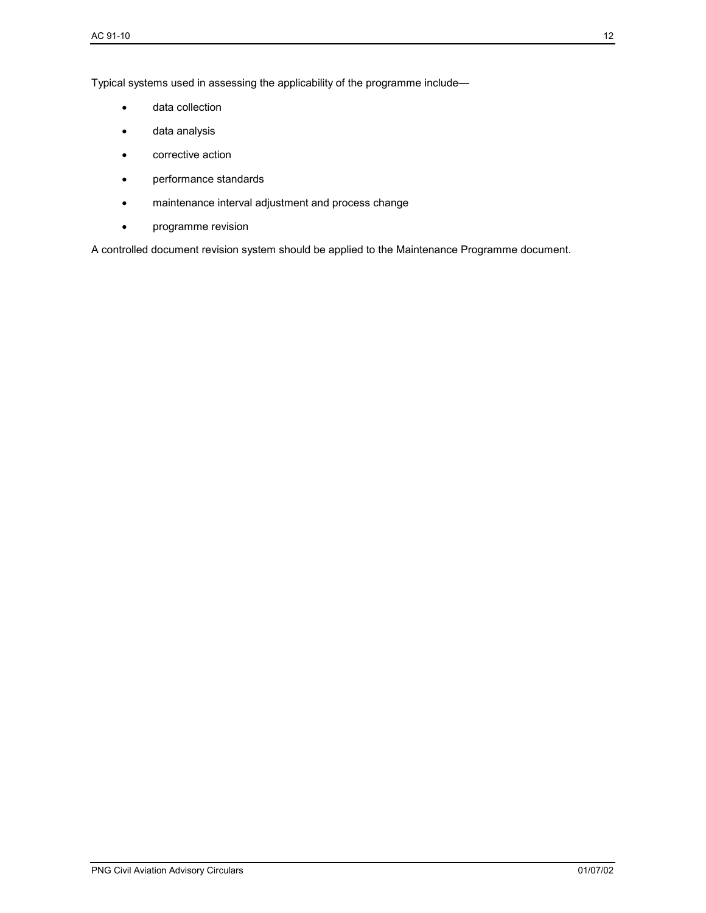Typical systems used in assessing the applicability of the programme include—

- data collection
- data analysis
- corrective action
- performance standards
- maintenance interval adjustment and process change
- programme revision

A controlled document revision system should be applied to the Maintenance Programme document.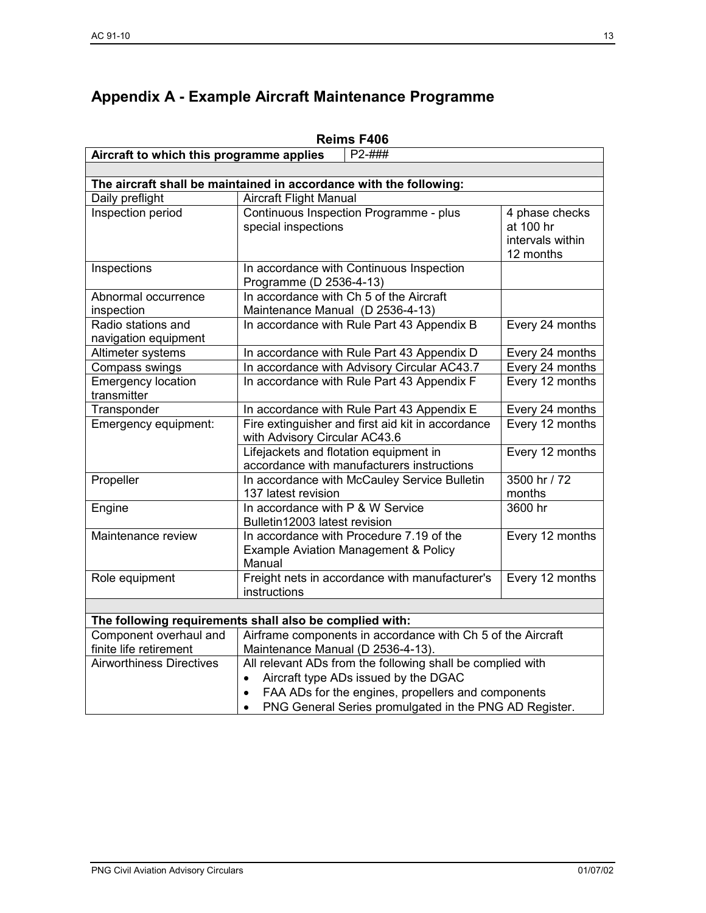# **Appendix A - Example Aircraft Maintenance Programme**

| Reims F406                                                         |                                                                                                  |                                                              |  |
|--------------------------------------------------------------------|--------------------------------------------------------------------------------------------------|--------------------------------------------------------------|--|
| Aircraft to which this programme applies<br>$P2 - # # #$           |                                                                                                  |                                                              |  |
|                                                                    |                                                                                                  |                                                              |  |
| The aircraft shall be maintained in accordance with the following: |                                                                                                  |                                                              |  |
| Daily preflight                                                    | <b>Aircraft Flight Manual</b>                                                                    |                                                              |  |
| Inspection period                                                  | Continuous Inspection Programme - plus<br>special inspections                                    | 4 phase checks<br>at 100 hr<br>intervals within<br>12 months |  |
| Inspections                                                        | In accordance with Continuous Inspection<br>Programme (D 2536-4-13)                              |                                                              |  |
| Abnormal occurrence<br>inspection                                  | In accordance with Ch 5 of the Aircraft<br>Maintenance Manual (D 2536-4-13)                      |                                                              |  |
| Radio stations and<br>navigation equipment                         | In accordance with Rule Part 43 Appendix B                                                       | Every 24 months                                              |  |
| Altimeter systems                                                  | In accordance with Rule Part 43 Appendix D                                                       | Every 24 months                                              |  |
| Compass swings                                                     | In accordance with Advisory Circular AC43.7                                                      | Every 24 months                                              |  |
| <b>Emergency location</b><br>transmitter                           | In accordance with Rule Part 43 Appendix F                                                       | Every 12 months                                              |  |
| Transponder                                                        | In accordance with Rule Part 43 Appendix E                                                       | Every 24 months                                              |  |
| Emergency equipment:                                               | Fire extinguisher and first aid kit in accordance<br>with Advisory Circular AC43.6               | Every 12 months                                              |  |
|                                                                    | Lifejackets and flotation equipment in<br>accordance with manufacturers instructions             | Every 12 months                                              |  |
| Propeller                                                          | In accordance with McCauley Service Bulletin<br>137 latest revision                              | 3500 hr / 72<br>months                                       |  |
| Engine                                                             | In accordance with P & W Service<br>Bulletin12003 latest revision                                | 3600 hr                                                      |  |
| Maintenance review                                                 | In accordance with Procedure 7.19 of the<br>Example Aviation Management & Policy<br>Manual       | Every 12 months                                              |  |
| Role equipment                                                     | Freight nets in accordance with manufacturer's<br>instructions                                   | Every 12 months                                              |  |
|                                                                    |                                                                                                  |                                                              |  |
|                                                                    | The following requirements shall also be complied with:                                          |                                                              |  |
| Component overhaul and<br>finite life retirement                   | Airframe components in accordance with Ch 5 of the Aircraft<br>Maintenance Manual (D 2536-4-13). |                                                              |  |
| <b>Airworthiness Directives</b>                                    | All relevant ADs from the following shall be complied with                                       |                                                              |  |
|                                                                    | Aircraft type ADs issued by the DGAC<br>$\bullet$                                                |                                                              |  |
|                                                                    | FAA ADs for the engines, propellers and components<br>$\bullet$                                  |                                                              |  |
|                                                                    | PNG General Series promulgated in the PNG AD Register.<br>$\bullet$                              |                                                              |  |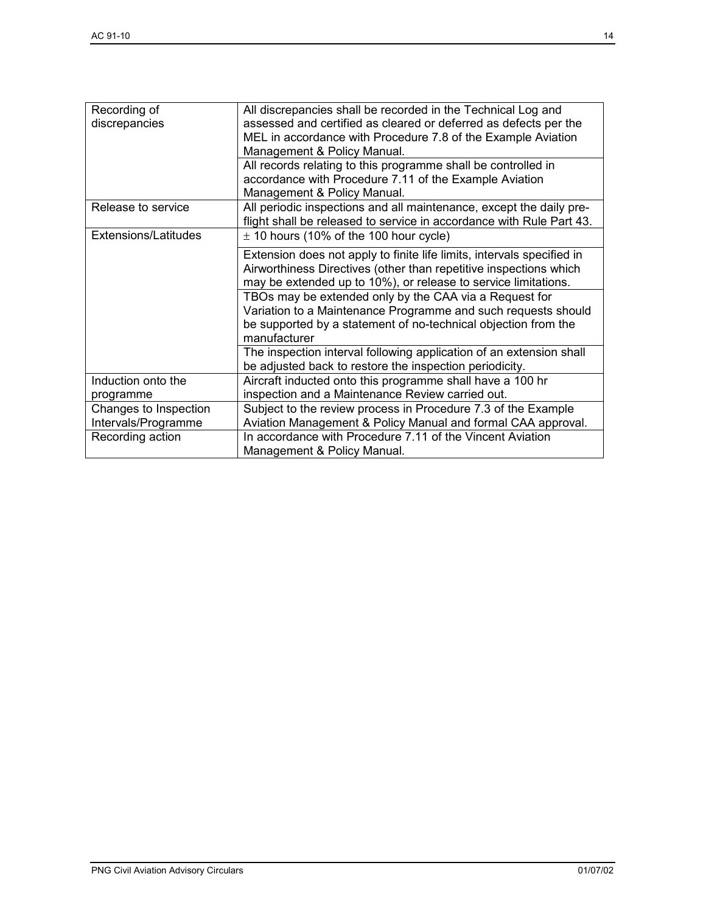| Recording of<br>discrepancies                | All discrepancies shall be recorded in the Technical Log and<br>assessed and certified as cleared or deferred as defects per the<br>MEL in accordance with Procedure 7.8 of the Example Aviation<br>Management & Policy Manual. |
|----------------------------------------------|---------------------------------------------------------------------------------------------------------------------------------------------------------------------------------------------------------------------------------|
|                                              | All records relating to this programme shall be controlled in<br>accordance with Procedure 7.11 of the Example Aviation<br>Management & Policy Manual.                                                                          |
| Release to service                           | All periodic inspections and all maintenance, except the daily pre-<br>flight shall be released to service in accordance with Rule Part 43.                                                                                     |
| Extensions/Latitudes                         | $\pm$ 10 hours (10% of the 100 hour cycle)                                                                                                                                                                                      |
|                                              | Extension does not apply to finite life limits, intervals specified in<br>Airworthiness Directives (other than repetitive inspections which<br>may be extended up to 10%), or release to service limitations.                   |
|                                              | TBOs may be extended only by the CAA via a Request for<br>Variation to a Maintenance Programme and such requests should<br>be supported by a statement of no-technical objection from the<br>manufacturer                       |
|                                              | The inspection interval following application of an extension shall<br>be adjusted back to restore the inspection periodicity.                                                                                                  |
| Induction onto the<br>programme              | Aircraft inducted onto this programme shall have a 100 hr<br>inspection and a Maintenance Review carried out.                                                                                                                   |
| Changes to Inspection<br>Intervals/Programme | Subject to the review process in Procedure 7.3 of the Example<br>Aviation Management & Policy Manual and formal CAA approval.                                                                                                   |
| Recording action                             | In accordance with Procedure 7.11 of the Vincent Aviation<br>Management & Policy Manual.                                                                                                                                        |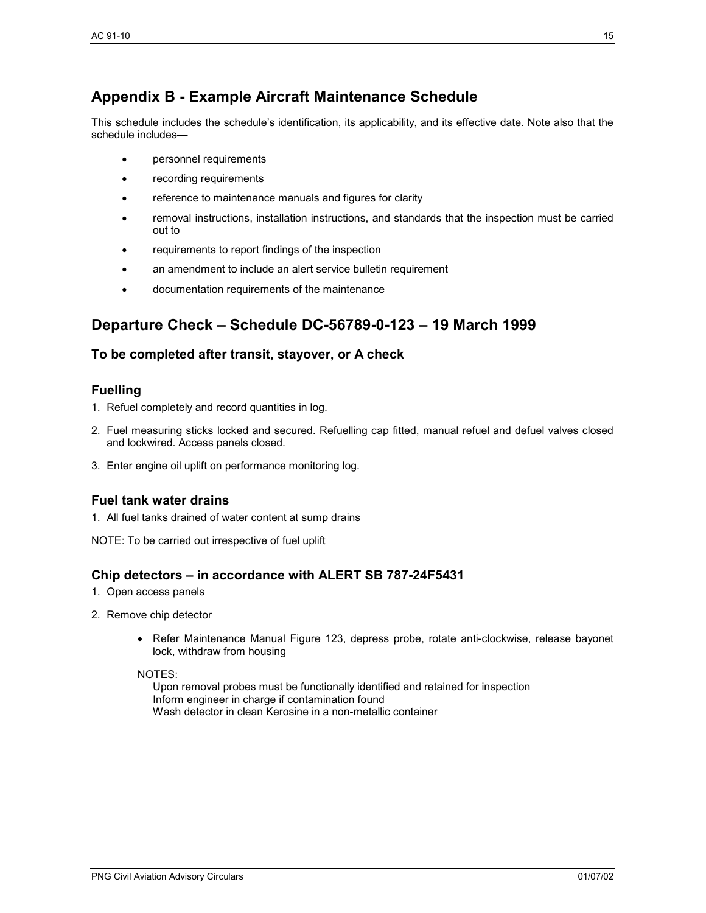# **Appendix B - Example Aircraft Maintenance Schedule**

This schedule includes the schedule's identification, its applicability, and its effective date. Note also that the schedule includes—

- personnel requirements
- recording requirements
- reference to maintenance manuals and figures for clarity
- removal instructions, installation instructions, and standards that the inspection must be carried out to
- requirements to report findings of the inspection
- an amendment to include an alert service bulletin requirement
- documentation requirements of the maintenance

# **Departure Check – Schedule DC-56789-0-123 – 19 March 1999**

# **To be completed after transit, stayover, or A check**

# **Fuelling**

- 1. Refuel completely and record quantities in log.
- 2. Fuel measuring sticks locked and secured. Refuelling cap fitted, manual refuel and defuel valves closed and lockwired. Access panels closed.
- 3. Enter engine oil uplift on performance monitoring log.

# **Fuel tank water drains**

- 1. All fuel tanks drained of water content at sump drains
- NOTE: To be carried out irrespective of fuel uplift

# **Chip detectors – in accordance with ALERT SB 787-24F5431**

- 1. Open access panels
- 2. Remove chip detector
	- Refer Maintenance Manual Figure 123, depress probe, rotate anti-clockwise, release bayonet lock, withdraw from housing

#### NOTES:

Upon removal probes must be functionally identified and retained for inspection Inform engineer in charge if contamination found Wash detector in clean Kerosine in a non-metallic container